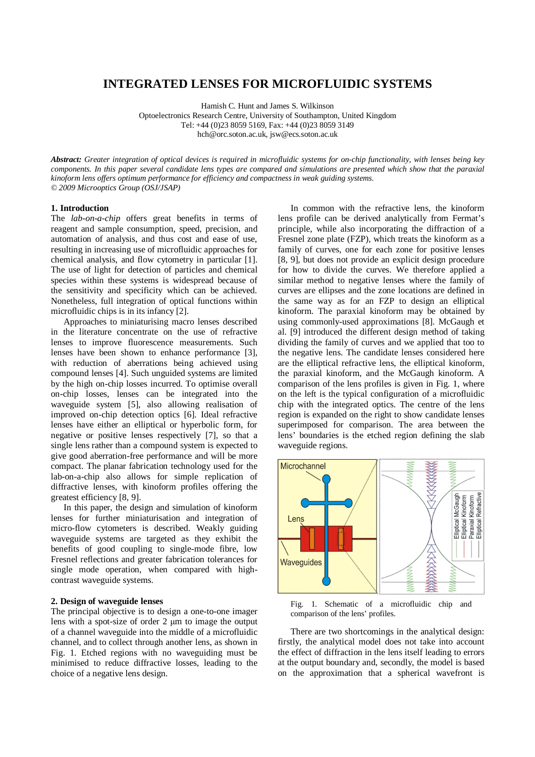# **INTEGRATED LENSES FOR MICROFLUIDIC SYSTEMS**

Hamish C. Hunt and James S. Wilkinson

Optoelectronics Research Centre, University of Southampton, United Kingdom Tel: +44 (0)23 8059 5169, Fax: +44 (0)23 8059 3149

hch@orc.soton.ac.uk, jsw@ecs.soton.ac.uk

*Abstract: Greater integration of optical devices is required in microfluidic systems for on-chip functionality, with lenses being key components. In this paper several candidate lens types are compared and simulations are presented which show that the paraxial kinoform lens offers optimum performance for efficiency and compactness in weak guiding systems. © 2009 Microoptics Group (OSJ/JSAP)* 

# **1. Introduction**

The *lab-on-a-chip* offers great benefits in terms of reagent and sample consumption, speed, precision, and automation of analysis, and thus cost and ease of use, resulting in increasing use of microfluidic approaches for chemical analysis, and flow cytometry in particular [1]. The use of light for detection of particles and chemical species within these systems is widespread because of the sensitivity and specificity which can be achieved. Nonetheless, full integration of optical functions within microfluidic chips is in its infancy [2].

Approaches to miniaturising macro lenses described in the literature concentrate on the use of refractive lenses to improve fluorescence measurements. Such lenses have been shown to enhance performance [3], with reduction of aberrations being achieved using compound lenses [4]. Such unguided systems are limited by the high on-chip losses incurred. To optimise overall on-chip losses, lenses can be integrated into the waveguide system [5], also allowing realisation of improved on-chip detection optics [6]. Ideal refractive lenses have either an elliptical or hyperbolic form, for negative or positive lenses respectively [7], so that a single lens rather than a compound system is expected to give good aberration-free performance and will be more compact. The planar fabrication technology used for the lab-on-a-chip also allows for simple replication of diffractive lenses, with kinoform profiles offering the greatest efficiency [8, 9].

In this paper, the design and simulation of kinoform lenses for further miniaturisation and integration of micro-flow cytometers is described. Weakly guiding waveguide systems are targeted as they exhibit the benefits of good coupling to single-mode fibre, low Fresnel reflections and greater fabrication tolerances for single mode operation, when compared with highcontrast waveguide systems.

## **2. Design of waveguide lenses**

The principal objective is to design a one-to-one imager lens with a spot-size of order 2 µm to image the output of a channel waveguide into the middle of a microfluidic channel, and to collect through another lens, as shown in Fig. 1. Etched regions with no waveguiding must be minimised to reduce diffractive losses, leading to the choice of a negative lens design.

In common with the refractive lens, the kinoform lens profile can be derived analytically from Fermat's principle, while also incorporating the diffraction of a Fresnel zone plate (FZP), which treats the kinoform as a family of curves, one for each zone for positive lenses [8, 9], but does not provide an explicit design procedure for how to divide the curves. We therefore applied a similar method to negative lenses where the family of curves are ellipses and the zone locations are defined in the same way as for an FZP to design an elliptical kinoform. The paraxial kinoform may be obtained by using commonly-used approximations [8]. McGaugh et al. [9] introduced the different design method of taking dividing the family of curves and we applied that too to the negative lens. The candidate lenses considered here are the elliptical refractive lens, the elliptical kinoform, the paraxial kinoform, and the McGaugh kinoform. A comparison of the lens profiles is given in Fig. 1, where on the left is the typical configuration of a microfluidic chip with the integrated optics. The centre of the lens region is expanded on the right to show candidate lenses superimposed for comparison. The area between the lens' boundaries is the etched region defining the slab waveguide regions.



Fig. 1. Schematic of a microfluidic chip and comparison of the lens' profiles.

There are two shortcomings in the analytical design: firstly, the analytical model does not take into account the effect of diffraction in the lens itself leading to errors at the output boundary and, secondly, the model is based on the approximation that a spherical wavefront is